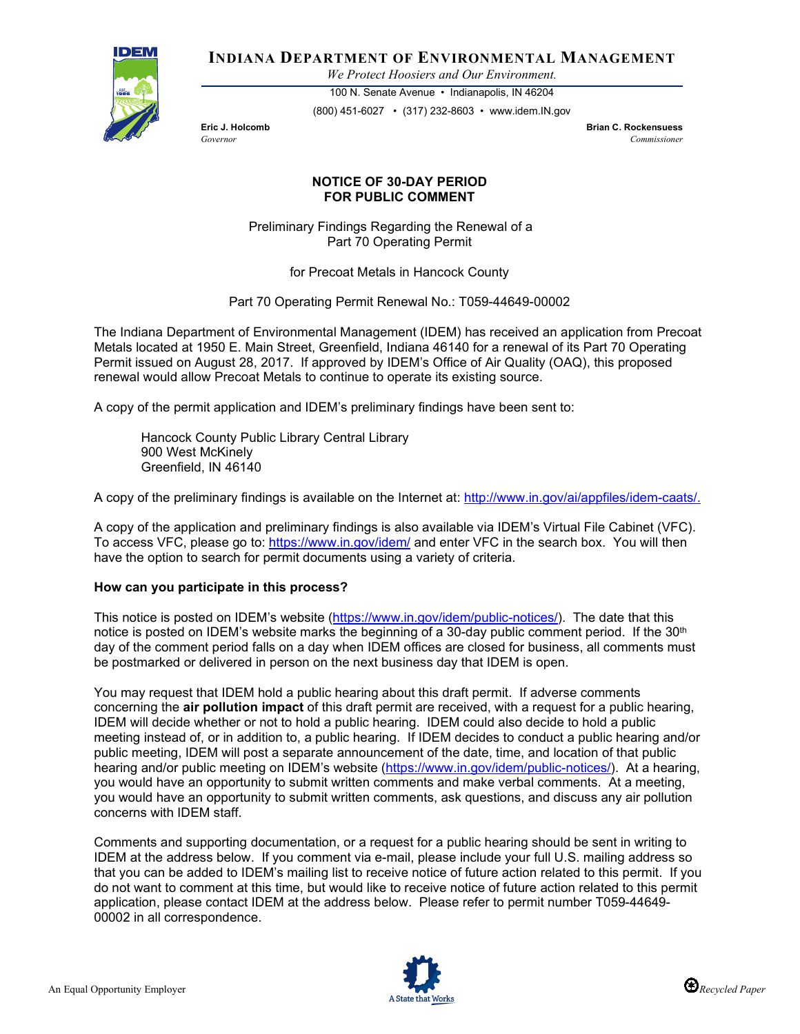

**INDIANA DEPARTMENT OF ENVIRONMENTAL MANAGEMENT**

*We Protect Hoosiers and Our Environment.*

100 N. Senate Avenue • Indianapolis, IN 46204 (800) 451-6027 • (317) 232-8603 • www.idem.IN.gov

**Eric J. Holcomb Brian C. Rockensuess** *Governor Commissioner* 

## **NOTICE OF 30-DAY PERIOD FOR PUBLIC COMMENT**

Preliminary Findings Regarding the Renewal of a Part 70 Operating Permit

for Precoat Metals in Hancock County

Part 70 Operating Permit Renewal No.: T059-44649-00002

The Indiana Department of Environmental Management (IDEM) has received an application from Precoat Metals located at 1950 E. Main Street, Greenfield, Indiana 46140 for a renewal of its Part 70 Operating Permit issued on August 28, 2017. If approved by IDEM's Office of Air Quality (OAQ), this proposed renewal would allow Precoat Metals to continue to operate its existing source.

A copy of the permit application and IDEM's preliminary findings have been sent to:

Hancock County Public Library Central Library 900 West McKinely Greenfield, IN 46140

A copy of the preliminary findings is available on the Internet at: [http://www.in.gov/ai/appfiles/idem-caats/.](http://www.in.gov/ai/appfiles/idem-caats/)

A copy of the application and preliminary findings is also available via IDEM's Virtual File Cabinet (VFC). To access VFC, please go to:<https://www.in.gov/idem/> and enter VFC in the search box. You will then have the option to search for permit documents using a variety of criteria.

## **How can you participate in this process?**

This notice is posted on IDEM's website [\(https://www.in.gov/idem/public-notices/\)](https://www.in.gov/idem/public-notices/). The date that this notice is posted on IDEM's website marks the beginning of a 30-day public comment period. If the 30<sup>th</sup> day of the comment period falls on a day when IDEM offices are closed for business, all comments must be postmarked or delivered in person on the next business day that IDEM is open.

You may request that IDEM hold a public hearing about this draft permit. If adverse comments concerning the **air pollution impact** of this draft permit are received, with a request for a public hearing, IDEM will decide whether or not to hold a public hearing. IDEM could also decide to hold a public meeting instead of, or in addition to, a public hearing. If IDEM decides to conduct a public hearing and/or public meeting, IDEM will post a separate announcement of the date, time, and location of that public hearing and/or public meeting on IDEM's website [\(https://www.in.gov/idem/public-notices/\)](https://www.in.gov/idem/public-notices/). At a hearing, you would have an opportunity to submit written comments and make verbal comments. At a meeting, you would have an opportunity to submit written comments, ask questions, and discuss any air pollution concerns with IDEM staff.

Comments and supporting documentation, or a request for a public hearing should be sent in writing to IDEM at the address below. If you comment via e-mail, please include your full U.S. mailing address so that you can be added to IDEM's mailing list to receive notice of future action related to this permit. If you do not want to comment at this time, but would like to receive notice of future action related to this permit application, please contact IDEM at the address below. Please refer to permit number T059-44649- 00002 in all correspondence.